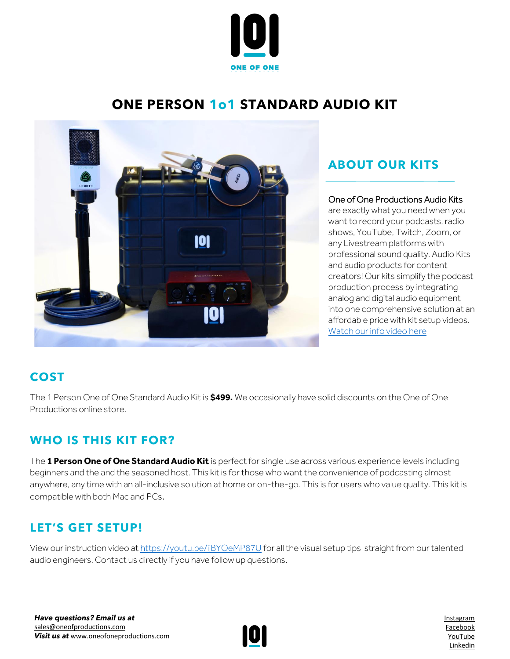

# **ONE PERSON 1o1 STANDARD AUDIO KIT**



### **ABOUT OUR KITS**

#### One of One Productions Audio Kits

are exactly what you need when you want to record your podcasts, radio shows, YouTube, Twitch, Zoom, or any Livestream platforms with professional sound quality. Audio Kits and audio products for content creators! Our kits simplify the podcast production process by integrating analog and digital audio equipment into one comprehensive solution at an affordable price with kit setup videos. [Watch our info video here](https://www.youtube.com/watch?v=azt8UKdf2mI)

# **COST**

The 1 Person One of One Standard Audio Kit is **\$499.** We occasionally have solid discounts on the One of One Productions online store.

### **WHO IS THIS KIT FOR?**

The **1 Person One of One Standard Audio Kit** is perfect for single use across various experience levels including beginners and the and the seasoned host. This kit is for those who want the convenience of podcasting almost anywhere, any time with an all-inclusive solution at home or on-the-go. This is for users who value quality. This kit is compatible with both Mac and PCs.

### **LET'S GET SETUP!**

View our instruction video a[t https://youtu.be/ijBYOeMP87U](https://youtu.be/ijBYOeMP87U) for all the visual setup tips straight from our talented audio engineers. Contact us directly if you have follow up questions.



[Instagram](http://www.instagram.com/oneofoneprostudio) [Facebook](http://www.facebook.com/oneofoneprostudio) [YouTube](https://www.youtube.com/channel/UC7rXqaZ33g4xGBeQXeCHT7Q/videos) [Linkedin](http://www.linkedin.com/company/one-of-one-productions-studio/)